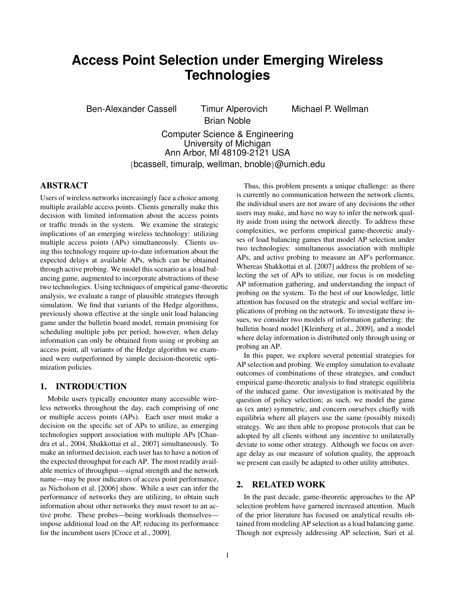# **Access Point Selection under Emerging Wireless Technologies**

Ben-Alexander Cassell Timur Alperovich Michael P. Wellman

Brian Noble

Computer Science & Engineering

University of Michigan Ann Arbor, MI 48109-2121 USA

{bcassell, timuralp, wellman, bnoble}@umich.edu

# ABSTRACT

Users of wireless networks increasingly face a choice among multiple available access points. Clients generally make this decision with limited information about the access points or traffic trends in the system. We examine the strategic implications of an emerging wireless technology: utilizing multiple access points (APs) simultaneously. Clients using this technology require up-to-date information about the expected delays at available APs, which can be obtained through active probing. We model this scenario as a load balancing game, augmented to incorporate abstractions of these two technologies. Using techniques of empirical game-theoretic analysis, we evaluate a range of plausible strategies through simulation. We find that variants of the Hedge algorithms, previously shown effective at the single unit load balancing game under the bulletin board model, remain promising for scheduling multiple jobs per period; however, when delay information can only be obtained from using or probing an access point, all variants of the Hedge algorithm we examined were outperformed by simple decision-theoretic optimization policies.

# 1. INTRODUCTION

Mobile users typically encounter many accessible wireless networks throughout the day, each comprising of one or multiple access points (APs). Each user must make a decision on the specific set of APs to utilize, as emerging technologies support association with multiple APs [Chandra et al., 2004, Shakkottai et al., 2007] simultaneously. To make an informed decision, each user has to have a notion of the expected throughput for each AP. The most readily available metrics of throughput—signal strength and the network name—may be poor indicators of access point performance, as Nicholson et al. [2006] show. While a user can infer the performance of networks they are utilizing, to obtain such information about other networks they must resort to an active probe. These probes—being workloads themselves impose additional load on the AP, reducing its performance for the incumbent users [Croce et al., 2009].

Thus, this problem presents a unique challenge: as there is currently no communication between the network clients, the individual users are not aware of any decisions the other users may make, and have no way to infer the network quality aside from using the network directly. To address these complexities, we perform empirical game-theoretic analyses of load balancing games that model AP selection under two technologies: simultaneous association with multiple APs, and active probing to measure an AP's performance. Whereas Shakkottai et al. [2007] address the problem of selecting the set of APs to utilize, our focus is on modeling AP information gathering, and understanding the impact of probing on the system. To the best of our knowledge, little attention has focused on the strategic and social welfare implications of probing on the network. To investigate these issues, we consider two models of information gathering: the bulletin board model [Kleinberg et al., 2009], and a model where delay information is distributed only through using or probing an AP.

In this paper, we explore several potential strategies for AP selection and probing. We employ simulation to evaluate outcomes of combinations of these strategies, and conduct empirical game-theoretic analysis to find strategic equilibria of the induced game. Our investigation is motivated by the question of policy selection; as such, we model the game as (ex ante) symmetric, and concern ourselves chiefly with equilibria where all players use the same (possibly mixed) strategy. We are then able to propose protocols that can be adopted by all clients without any incentive to unilaterally deviate to some other strategy. Although we focus on average delay as our measure of solution quality, the approach we present can easily be adapted to other utility attributes.

# 2. RELATED WORK

In the past decade, game-theoretic approaches to the AP selection problem have garnered increased attention. Much of the prior literature has focused on analytical results obtained from modeling AP selection as a load balancing game. Though not expressly addressing AP selection, Suri et al.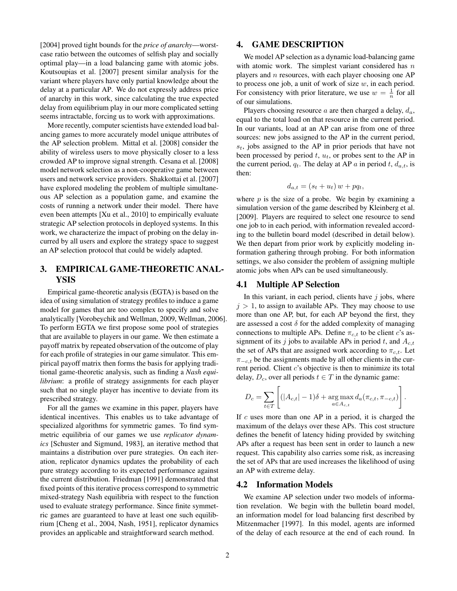[2004] proved tight bounds for the *price of anarchy*—worstcase ratio between the outcomes of selfish play and socially optimal play—in a load balancing game with atomic jobs. Koutsoupias et al. [2007] present similar analysis for the variant where players have only partial knowledge about the delay at a particular AP. We do not expressly address price of anarchy in this work, since calculating the true expected delay from equilibrium play in our more complicated setting seems intractable, forcing us to work with approximations.

More recently, computer scientists have extended load balancing games to more accurately model unique attributes of the AP selection problem. Mittal et al. [2008] consider the ability of wireless users to move physically closer to a less crowded AP to improve signal strength. Cesana et al. [2008] model network selection as a non-cooperative game between users and network service providers. Shakkottai et al. [2007] have explored modeling the problem of multiple simultaneous AP selection as a population game, and examine the costs of running a network under their model. There have even been attempts [Xu et al., 2010] to empirically evaluate strategic AP selection protocols in deployed systems. In this work, we characterize the impact of probing on the delay incurred by all users and explore the strategy space to suggest an AP selection protocol that could be widely adapted.

# 3. EMPIRICAL GAME-THEORETIC ANAL-YSIS

Empirical game-theoretic analysis (EGTA) is based on the idea of using simulation of strategy profiles to induce a game model for games that are too complex to specify and solve analytically [Vorobeychik and Wellman, 2009, Wellman, 2006]. To perform EGTA we first propose some pool of strategies that are available to players in our game. We then estimate a payoff matrix by repeated observation of the outcome of play for each profile of strategies in our game simulator. This empirical payoff matrix then forms the basis for applying traditional game-theoretic analysis, such as finding a *Nash equilibrium*: a profile of strategy assignments for each player such that no single player has incentive to deviate from its prescribed strategy.

For all the games we examine in this paper, players have identical incentives. This enables us to take advantage of specialized algorithms for symmetric games. To find symmetric equilibria of our games we use *replicator dynamics* [Schuster and Sigmund, 1983], an iterative method that maintains a distribution over pure strategies. On each iteration, replicator dynamics updates the probability of each pure strategy according to its expected performance against the current distribution. Friedman [1991] demonstrated that fixed points of this iterative process correspond to symmetric mixed-strategy Nash equilibria with respect to the function used to evaluate strategy performance. Since finite symmetric games are guaranteed to have at least one such equilibrium [Cheng et al., 2004, Nash, 1951], replicator dynamics provides an applicable and straightforward search method.

# 4. GAME DESCRIPTION

We model AP selection as a dynamic load-balancing game with atomic work. The simplest variant considered has  $n$ players and  $n$  resources, with each player choosing one AP to process one job, a unit of work of size  $w$ , in each period. For consistency with prior literature, we use  $w = \frac{1}{n}$  for all of our simulations.

Players choosing resource  $a$  are then charged a delay,  $d_a$ , equal to the total load on that resource in the current period. In our variants, load at an AP can arise from one of three sources: new jobs assigned to the AP in the current period,  $s_t$ , jobs assigned to the AP in prior periods that have not been processed by period  $t$ ,  $u_t$ , or probes sent to the AP in the current period,  $q_t$ . The delay at AP a in period t,  $d_{a,t}$ , is then:

$$
d_{a,t} = (s_t + u_t) w + p q_t,
$$

where  $p$  is the size of a probe. We begin by examining a simulation version of the game described by Kleinberg et al. [2009]. Players are required to select one resource to send one job to in each period, with information revealed according to the bulletin board model (described in detail below). We then depart from prior work by explicitly modeling information gathering through probing. For both information settings, we also consider the problem of assigning multiple atomic jobs when APs can be used simultaneously.

## 4.1 Multiple AP Selection

In this variant, in each period, clients have  $j$  jobs, where  $j > 1$ , to assign to available APs. They may choose to use more than one AP, but, for each AP beyond the first, they are assessed a cost  $\delta$  for the added complexity of managing connections to multiple APs. Define  $\pi_{c,t}$  to be client c's assignment of its j jobs to available APs in period t, and  $A_{c,t}$ the set of APs that are assigned work according to  $\pi_{c,t}$ . Let  $\pi_{-c,t}$  be the assignments made by all other clients in the current period. Client  $c$ 's objective is then to minimize its total delay,  $D_c$ , over all periods  $t \in T$  in the dynamic game:

$$
D_c = \sum_{t \in T} \left[ (|A_{c,t}| - 1)\delta + \underset{a \in A_{c,t}}{\arg \max} d_a(\pi_{c,t}, \pi_{-c,t}) \right].
$$

If  $c$  uses more than one AP in a period, it is charged the maximum of the delays over these APs. This cost structure defines the benefit of latency hiding provided by switching APs after a request has been sent in order to launch a new request. This capability also carries some risk, as increasing the set of APs that are used increases the likelihood of using an AP with extreme delay.

## 4.2 Information Models

We examine AP selection under two models of information revelation. We begin with the bulletin board model, an information model for load balancing first described by Mitzenmacher [1997]. In this model, agents are informed of the delay of each resource at the end of each round. In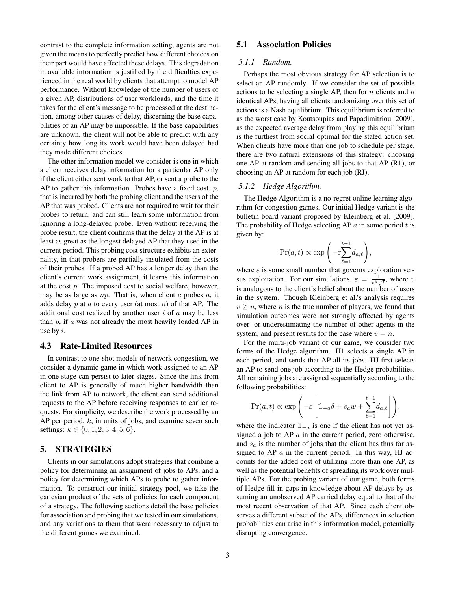contrast to the complete information setting, agents are not given the means to perfectly predict how different choices on their part would have affected these delays. This degradation in available information is justified by the difficulties experienced in the real world by clients that attempt to model AP performance. Without knowledge of the number of users of a given AP, distributions of user workloads, and the time it takes for the client's message to be processed at the destination, among other causes of delay, discerning the base capabilities of an AP may be impossible. If the base capabilities are unknown, the client will not be able to predict with any certainty how long its work would have been delayed had they made different choices.

The other information model we consider is one in which a client receives delay information for a particular AP only if the client either sent work to that AP, or sent a probe to the AP to gather this information. Probes have a fixed cost,  $p$ , that is incurred by both the probing client and the users of the AP that was probed. Clients are not required to wait for their probes to return, and can still learn some information from ignoring a long-delayed probe. Even without receiving the probe result, the client confirms that the delay at the AP is at least as great as the longest delayed AP that they used in the current period. This probing cost structure exhibits an externality, in that probers are partially insulated from the costs of their probes. If a probed AP has a longer delay than the client's current work assignment, it learns this information at the cost  $p$ . The imposed cost to social welfare, however, may be as large as  $np$ . That is, when client c probes  $a$ , it adds delay  $p$  at  $a$  to every user (at most  $n$ ) of that AP. The additional cost realized by another user  $i$  of  $\alpha$  may be less than  $p$ , if  $a$  was not already the most heavily loaded AP in use by  $i$ .

## 4.3 Rate-Limited Resources

In contrast to one-shot models of network congestion, we consider a dynamic game in which work assigned to an AP in one stage can persist to later stages. Since the link from client to AP is generally of much higher bandwidth than the link from AP to network, the client can send additional requests to the AP before receiving responses to earlier requests. For simplicity, we describe the work processed by an AP per period,  $k$ , in units of jobs, and examine seven such settings:  $k \in \{0, 1, 2, 3, 4, 5, 6\}.$ 

## 5. STRATEGIES

Clients in our simulations adopt strategies that combine a policy for determining an assignment of jobs to APs, and a policy for determining which APs to probe to gather information. To construct our initial strategy pool, we take the cartesian product of the sets of policies for each component of a strategy. The following sections detail the base policies for association and probing that we tested in our simulations, and any variations to them that were necessary to adjust to the different games we examined.

# 5.1 Association Policies

## *5.1.1 Random.*

Perhaps the most obvious strategy for AP selection is to select an AP randomly. If we consider the set of possible actions to be selecting a single AP, then for n clients and  $n$ identical APs, having all clients randomizing over this set of actions is a Nash equilibrium. This equilibrium is referred to as the worst case by Koutsoupias and Papadimitriou [2009], as the expected average delay from playing this equilibrium is the furthest from social optimal for the stated action set. When clients have more than one job to schedule per stage, there are two natural extensions of this strategy: choosing one AP at random and sending all jobs to that AP (R1), or choosing an AP at random for each job (RJ).

#### *5.1.2 Hedge Algorithm.*

The Hedge Algorithm is a no-regret online learning algorithm for congestion games. Our initial Hedge variant is the bulletin board variant proposed by Kleinberg et al. [2009]. The probability of Hedge selecting AP  $a$  in some period  $t$  is given by:

$$
\Pr(a,t) \propto \exp\left(-\varepsilon \sum_{\ell=1}^{t-1} d_{a,\ell}\right),\,
$$

where  $\varepsilon$  is some small number that governs exploration versus exploitation. For our simulations,  $\varepsilon = \frac{1}{n^3}$ .  $\frac{1}{v^3\sqrt{t}}$ , where v is analogous to the client's belief about the number of users in the system. Though Kleinberg et al.'s analysis requires  $v \geq n$ , where *n* is the true number of players, we found that simulation outcomes were not strongly affected by agents over- or underestimating the number of other agents in the system, and present results for the case where  $v = n$ .

For the multi-job variant of our game, we consider two forms of the Hedge algorithm. H1 selects a single AP in each period, and sends that AP all its jobs. HJ first selects an AP to send one job according to the Hedge probabilities. All remaining jobs are assigned sequentially according to the following probabilities:

$$
\Pr(a,t) \propto \exp\left(-\varepsilon \left[1_{-a}\delta + s_a w + \sum_{\ell=1}^{t-1} d_{a,\ell}\right]\right),\,
$$

where the indicator  $1_{-a}$  is one if the client has not yet assigned a job to AP a in the current period, zero otherwise, and  $s_a$  is the number of jobs that the client has thus far assigned to AP  $\alpha$  in the current period. In this way, HJ accounts for the added cost of utilizing more than one AP, as well as the potential benefits of spreading its work over multiple APs. For the probing variant of our game, both forms of Hedge fill in gaps in knowledge about AP delays by assuming an unobserved AP carried delay equal to that of the most recent observation of that AP. Since each client observes a different subset of the APs, differences in selection probabilities can arise in this information model, potentially disrupting convergence.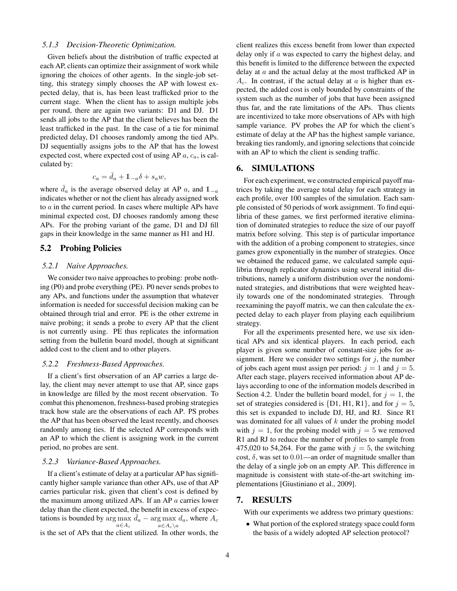## *5.1.3 Decision-Theoretic Optimization.*

Given beliefs about the distribution of traffic expected at each AP, clients can optimize their assignment of work while ignoring the choices of other agents. In the single-job setting, this strategy simply chooses the AP with lowest expected delay, that is, has been least trafficked prior to the current stage. When the client has to assign multiple jobs per round, there are again two variants: D1 and DJ. D1 sends all jobs to the AP that the client believes has been the least trafficked in the past. In the case of a tie for minimal predicted delay, D1 chooses randomly among the tied APs. DJ sequentially assigns jobs to the AP that has the lowest expected cost, where expected cost of using AP  $a$ ,  $c_a$ , is calculated by:

$$
c_a = \bar{d}_a + \mathbb{1}_{-a}\delta + s_a w,
$$

where  $\bar{d}_a$  is the average observed delay at AP a, and  $\mathbb{1}_{-a}$ indicates whether or not the client has already assigned work to a in the current period. In cases where multiple APs have minimal expected cost, DJ chooses randomly among these APs. For the probing variant of the game, D1 and DJ fill gaps in their knowledge in the same manner as H1 and HJ.

# 5.2 Probing Policies

## *5.2.1 Naive Approaches.*

We consider two naive approaches to probing: probe nothing (P0) and probe everything (PE). P0 never sends probes to any APs, and functions under the assumption that whatever information is needed for successful decision making can be obtained through trial and error. PE is the other extreme in naive probing; it sends a probe to every AP that the client is not currently using. PE thus replicates the information setting from the bulletin board model, though at significant added cost to the client and to other players.

#### *5.2.2 Freshness-Based Approaches.*

If a client's first observation of an AP carries a large delay, the client may never attempt to use that AP, since gaps in knowledge are filled by the most recent observation. To combat this phenomenon, freshness-based probing strategies track how stale are the observations of each AP. PS probes the AP that has been observed the least recently, and chooses randomly among ties. If the selected AP corresponds with an AP to which the client is assigning work in the current period, no probes are sent.

#### *5.2.3 Variance-Based Approaches.*

If a client's estimate of delay at a particular AP has significantly higher sample variance than other APs, use of that AP carries particular risk, given that client's cost is defined by the maximum among utilized APs. If an AP  $a$  carries lower delay than the client expected, the benefit in excess of expectations is bounded by  $\arg \max \bar{d}_a - \arg \max d_a$ , where  $A_c$  $a\!\in\!A_c$  $a \in A_c \backslash a$ is the set of APs that the client utilized. In other words, the

client realizes this excess benefit from lower than expected delay only if a was expected to carry the highest delay, and this benefit is limited to the difference between the expected delay at  $a$  and the actual delay at the most trafficked AP in  $A_c$ . In contrast, if the actual delay at a is higher than expected, the added cost is only bounded by constraints of the system such as the number of jobs that have been assigned thus far, and the rate limitations of the APs. Thus clients are incentivized to take more observations of APs with high sample variance. PV probes the AP for which the client's estimate of delay at the AP has the highest sample variance, breaking ties randomly, and ignoring selections that coincide with an AP to which the client is sending traffic.

# 6. SIMULATIONS

For each experiment, we constructed empirical payoff matrices by taking the average total delay for each strategy in each profile, over 100 samples of the simulation. Each sample consisted of 50 periods of work assignment. To find equilibria of these games, we first performed iterative elimination of dominated strategies to reduce the size of our payoff matrix before solving. This step is of particular importance with the addition of a probing component to strategies, since games grow exponentially in the number of strategies. Once we obtained the reduced game, we calculated sample equilibria through replicator dynamics using several initial distributions, namely a uniform distribution over the nondominated strategies, and distributions that were weighted heavily towards one of the nondominated strategies. Through reexamining the payoff matrix, we can then calculate the expected delay to each player from playing each equilibrium strategy.

For all the experiments presented here, we use six identical APs and six identical players. In each period, each player is given some number of constant-size jobs for assignment. Here we consider two settings for  $j$ , the number of jobs each agent must assign per period:  $j = 1$  and  $j = 5$ . After each stage, players received information about AP delays according to one of the information models described in Section 4.2. Under the bulletin board model, for  $j = 1$ , the set of strategies considered is  $\{D1, H1, R1\}$ , and for  $j = 5$ , this set is expanded to include DJ, HJ, and RJ. Since R1 was dominated for all values of  $k$  under the probing model with  $j = 1$ , for the probing model with  $j = 5$  we removed R1 and RJ to reduce the number of profiles to sample from 475,020 to 54,264. For the game with  $j = 5$ , the switching cost,  $\delta$ , was set to 0.01—an order of magnitude smaller than the delay of a single job on an empty AP. This difference in magnitude is consistent with state-of-the-art switching implementations [Giustiniano et al., 2009].

## 7. RESULTS

With our experiments we address two primary questions:

• What portion of the explored strategy space could form the basis of a widely adopted AP selection protocol?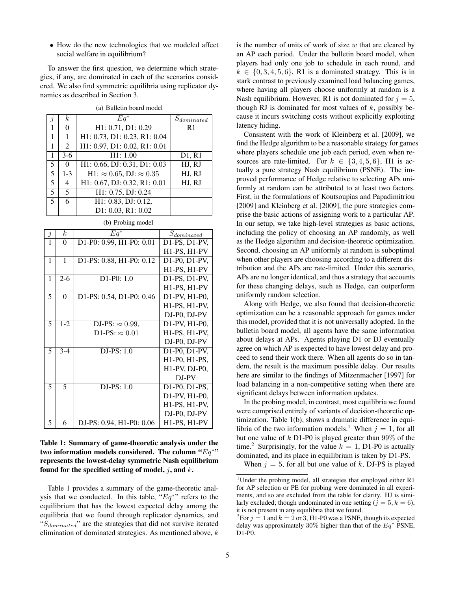• How do the new technologies that we modeled affect social welfare in equilibrium?

To answer the first question, we determine which strategies, if any, are dominated in each of the scenarios considered. We also find symmetric equilibria using replicator dynamics as described in Section 3.

| $\dot{j}$               | $\boldsymbol{k}$ | $Eq^*$                                  | $S_{dominated}$ |
|-------------------------|------------------|-----------------------------------------|-----------------|
| 1                       | 0                | H1: 0.71, D1: 0.29                      | R <sub>1</sub>  |
| 1                       | 1                | H1: 0.73, D1: 0.23, R1: 0.04            |                 |
| 1                       | $\overline{2}$   | H1: 0.97, D1: 0.02, R1: 0.01            |                 |
| $\mathbf{1}$            | $3-6$            | H1: 1.00                                | D1, R1          |
| 5                       | 0                | H1: 0.66, DJ: 0.31, D1: 0.03            | HJ, RJ          |
| 5                       | $1 - 3$          | H1: $\approx 0.65$ , DJ: $\approx 0.35$ | HJ, RJ          |
| $\overline{5}$          | 4                | H1: 0.67, DJ: 0.32, R1: 0.01            | HJ, RJ          |
| 5                       | 5                | H1: 0.75, DJ: 0.24                      |                 |
| $\overline{\mathbf{z}}$ | 6                | H1: 0.83, DJ: 0.12,                     |                 |
|                         |                  | D1: 0.03, R1: 0.02                      |                 |

(a) Bulletin board model

| (b) Probing model |                  |                          |                                                                   |  |
|-------------------|------------------|--------------------------|-------------------------------------------------------------------|--|
| $\overline{j}$    | $\boldsymbol{k}$ | $Eq^*$                   | $S_{dominated}$                                                   |  |
| $\overline{1}$    | $\theta$         | D1-P0: 0.99, H1-P0: 0.01 | D1-PS, D1-PV,                                                     |  |
|                   |                  |                          | H1-PS, H1-PV                                                      |  |
| 1                 | 1                | D1-PS: 0.88, H1-P0: 0.12 | $D1-P0$ , $D1-PV$ ,                                               |  |
|                   |                  |                          | H1-PS, H1-PV                                                      |  |
| 1                 | $2-6$            | $D1-P0: 1.0$             | D1-PS, D1-PV,                                                     |  |
|                   |                  |                          | H1-PS, H1-PV                                                      |  |
| $\overline{5}$    | $\theta$         | D1-PS: 0.54, D1-P0: 0.46 | D1-PV, H1-P0,                                                     |  |
|                   |                  |                          | H1-PS, H1-PV,                                                     |  |
|                   |                  |                          | DJ-P0, DJ-PV                                                      |  |
| 5                 | $1 - 2$          | DJ-PS: $\approx 0.99$ ,  | D1-PV, H1-P0,                                                     |  |
|                   |                  | D1-PS: $\approx 0.01$    | H1-PS, H1-PV,                                                     |  |
|                   |                  |                          | DJ-P0, DJ-PV                                                      |  |
| 5                 | $3 - 4$          | DJ-PS: 1.0               | D1-P0, D1-PV,                                                     |  |
|                   |                  |                          | H <sub>1</sub> -P <sub>0</sub> , H <sub>1</sub> -P <sub>S</sub> , |  |
|                   |                  |                          | $H1-PV$ , $DJ-P0$ ,                                               |  |
|                   |                  |                          | DJ-PV                                                             |  |
| $\overline{5}$    | 5                | DJ-PS: 1.0               | D1-P0, D1-PS,                                                     |  |
|                   |                  |                          | D1-PV, H1-P0,                                                     |  |
|                   |                  |                          | H1-PS, H1-PV,                                                     |  |
|                   |                  |                          | DJ-P0, DJ-PV                                                      |  |
| 5                 | 6                | DJ-PS: 0.94, H1-P0: 0.06 | $\overline{H1-PS}$ , $H1-PV$                                      |  |

| Table 1: Summary of game-theoretic analysis under the      |
|------------------------------------------------------------|
| two information models considered. The column " $Eq^{*}}"$ |
| represents the lowest-delay symmetric Nash equilibrium     |
| found for the specified setting of model, j, and $k$ .     |

Table 1 provides a summary of the game-theoretic analysis that we conducted. In this table, " $Eq^{*}$ " refers to the equilibrium that has the lowest expected delay among the equilibria that we found through replicator dynamics, and " $S_{dominated}$ " are the strategies that did not survive iterated elimination of dominated strategies. As mentioned above,  $k$  is the number of units of work of size  $w$  that are cleared by an AP each period. Under the bulletin board model, when players had only one job to schedule in each round, and  $k \in \{0, 3, 4, 5, 6\}$ , R1 is a dominated strategy. This is in stark contrast to previously examined load balancing games, where having all players choose uniformly at random is a Nash equilibrium. However, R1 is not dominated for  $j = 5$ , though RJ is dominated for most values of  $k$ , possibly because it incurs switching costs without explicitly exploiting latency hiding.

Consistent with the work of Kleinberg et al. [2009], we find the Hedge algorithm to be a reasonable strategy for games where players schedule one job each period, even when resources are rate-limited. For  $k \in \{3, 4, 5, 6\}$ , H1 is actually a pure strategy Nash equilibrium (PSNE). The improved performance of Hedge relative to selecting APs uniformly at random can be attributed to at least two factors. First, in the formulations of Koutsoupias and Papadimitriou [2009] and Kleinberg et al. [2009], the pure strategies comprise the basic actions of assigning work to a particular AP. In our setup, we take high-level strategies as basic actions, including the policy of choosing an AP randomly, as well as the Hedge algorithm and decision-theoretic optimization. Second, choosing an AP uniformly at random is suboptimal when other players are choosing according to a different distribution and the APs are rate-limited. Under this scenario, APs are no longer identical, and thus a strategy that accounts for these changing delays, such as Hedge, can outperform uniformly random selection.

Along with Hedge, we also found that decision-theoretic optimization can be a reasonable approach for games under this model, provided that it is not universally adopted. In the bulletin board model, all agents have the same information about delays at APs. Agents playing D1 or DJ eventually agree on which AP is expected to have lowest delay and proceed to send their work there. When all agents do so in tandem, the result is the maximum possible delay. Our results here are similar to the findings of Mitzenmacher [1997] for load balancing in a non-competitive setting when there are significant delays between information updates.

In the probing model, in contrast, most equilibria we found were comprised entirely of variants of decision-theoretic optimization. Table 1(b), shows a dramatic difference in equilibria of the two information models.<sup>1</sup> When  $j = 1$ , for all but one value of  $k$  D1-P0 is played greater than 99% of the time.<sup>2</sup> Surprisingly, for the value  $k = 1$ , D1-P0 is actually dominated, and its place in equilibrium is taken by D1-PS.

When  $j = 5$ , for all but one value of k, DJ-PS is played

<sup>&</sup>lt;sup>1</sup>Under the probing model, all strategies that employed either R1 for AP selection or PE for probing were dominated in all experiments, and so are excluded from the table for clarity. HJ is similarly excluded; though undominated in one setting ( $j = 5, k = 6$ ), it is not present in any equilibria that we found.

<sup>&</sup>lt;sup>2</sup>For  $j = 1$  and  $k = 2$  or 3, H1-P0 was a PSNE, though its expected delay was approximately 30% higher than that of the  $Eq^*$  PSNE, D1-P0.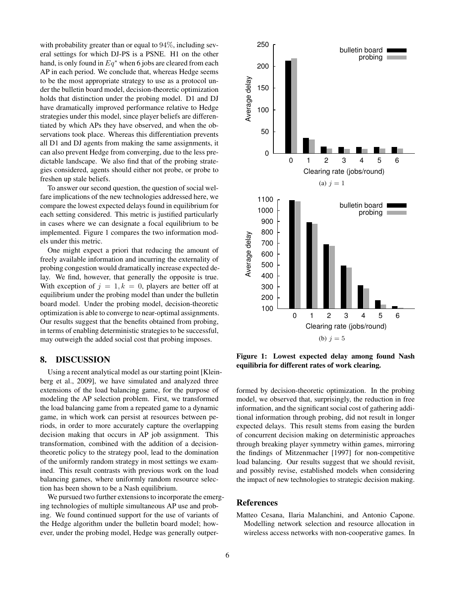with probability greater than or equal to 94%, including several settings for which DJ-PS is a PSNE. H1 on the other hand, is only found in  $Eq^*$  when 6 jobs are cleared from each AP in each period. We conclude that, whereas Hedge seems to be the most appropriate strategy to use as a protocol under the bulletin board model, decision-theoretic optimization holds that distinction under the probing model. D1 and DJ have dramatically improved performance relative to Hedge strategies under this model, since player beliefs are differentiated by which APs they have observed, and when the observations took place. Whereas this differentiation prevents all D1 and DJ agents from making the same assignments, it can also prevent Hedge from converging, due to the less predictable landscape. We also find that of the probing strategies considered, agents should either not probe, or probe to freshen up stale beliefs.

To answer our second question, the question of social welfare implications of the new technologies addressed here, we compare the lowest expected delays found in equilibrium for each setting considered. This metric is justified particularly in cases where we can designate a focal equilibrium to be implemented. Figure 1 compares the two information models under this metric.

One might expect a priori that reducing the amount of freely available information and incurring the externality of probing congestion would dramatically increase expected delay. We find, however, that generally the opposite is true. With exception of  $j = 1, k = 0$ , players are better off at equilibrium under the probing model than under the bulletin board model. Under the probing model, decision-theoretic optimization is able to converge to near-optimal assignments. Our results suggest that the benefits obtained from probing, in terms of enabling deterministic strategies to be successful, may outweigh the added social cost that probing imposes.

## 8. DISCUSSION

Using a recent analytical model as our starting point [Kleinberg et al., 2009], we have simulated and analyzed three extensions of the load balancing game, for the purpose of modeling the AP selection problem. First, we transformed the load balancing game from a repeated game to a dynamic game, in which work can persist at resources between periods, in order to more accurately capture the overlapping decision making that occurs in AP job assignment. This transformation, combined with the addition of a decisiontheoretic policy to the strategy pool, lead to the domination of the uniformly random strategy in most settings we examined. This result contrasts with previous work on the load balancing games, where uniformly random resource selection has been shown to be a Nash equilibrium.

We pursued two further extensions to incorporate the emerging technologies of multiple simultaneous AP use and probing. We found continued support for the use of variants of the Hedge algorithm under the bulletin board model; however, under the probing model, Hedge was generally outper-



Figure 1: Lowest expected delay among found Nash equilibria for different rates of work clearing.

formed by decision-theoretic optimization. In the probing model, we observed that, surprisingly, the reduction in free information, and the significant social cost of gathering additional information through probing, did not result in longer expected delays. This result stems from easing the burden of concurrent decision making on deterministic approaches through breaking player symmetry within games, mirroring the findings of Mitzenmacher [1997] for non-competitive load balancing. Our results suggest that we should revisit, and possibly revise, established models when considering the impact of new technologies to strategic decision making.

## **References**

Matteo Cesana, Ilaria Malanchini, and Antonio Capone. Modelling network selection and resource allocation in wireless access networks with non-cooperative games. In